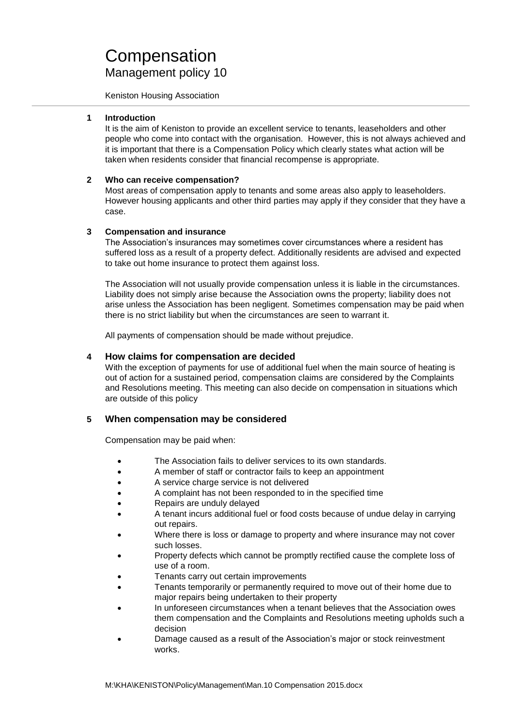Keniston Housing Association

### **1 Introduction**

It is the aim of Keniston to provide an excellent service to tenants, leaseholders and other people who come into contact with the organisation. However, this is not always achieved and it is important that there is a Compensation Policy which clearly states what action will be taken when residents consider that financial recompense is appropriate.

## **2 Who can receive compensation?**

Most areas of compensation apply to tenants and some areas also apply to leaseholders. However housing applicants and other third parties may apply if they consider that they have a case.

## **3 Compensation and insurance**

The Association's insurances may sometimes cover circumstances where a resident has suffered loss as a result of a property defect. Additionally residents are advised and expected to take out home insurance to protect them against loss.

The Association will not usually provide compensation unless it is liable in the circumstances. Liability does not simply arise because the Association owns the property; liability does not arise unless the Association has been negligent. Sometimes compensation may be paid when there is no strict liability but when the circumstances are seen to warrant it.

All payments of compensation should be made without prejudice.

## **4 How claims for compensation are decided**

With the exception of payments for use of additional fuel when the main source of heating is out of action for a sustained period, compensation claims are considered by the Complaints and Resolutions meeting. This meeting can also decide on compensation in situations which are outside of this policy

# **5 When compensation may be considered**

Compensation may be paid when:

- The Association fails to deliver services to its own standards.
- A member of staff or contractor fails to keep an appointment
- A service charge service is not delivered
- A complaint has not been responded to in the specified time
- Repairs are unduly delayed
- A tenant incurs additional fuel or food costs because of undue delay in carrying out repairs.
- Where there is loss or damage to property and where insurance may not cover such losses.
- Property defects which cannot be promptly rectified cause the complete loss of use of a room.
- Tenants carry out certain improvements
- Tenants temporarily or permanently required to move out of their home due to major repairs being undertaken to their property
- In unforeseen circumstances when a tenant believes that the Association owes them compensation and the Complaints and Resolutions meeting upholds such a decision
- Damage caused as a result of the Association's major or stock reinvestment works.